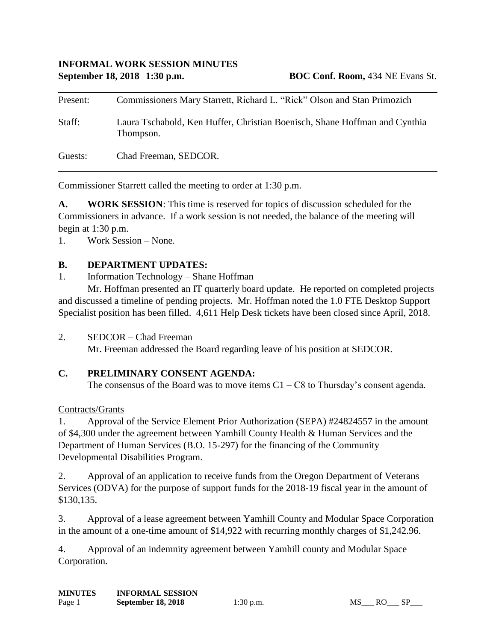| Present: | Commissioners Mary Starrett, Richard L. "Rick" Olson and Stan Primozich                 |
|----------|-----------------------------------------------------------------------------------------|
| Staff:   | Laura Tschabold, Ken Huffer, Christian Boenisch, Shane Hoffman and Cynthia<br>Thompson. |
| Guests:  | Chad Freeman, SEDCOR.                                                                   |

Commissioner Starrett called the meeting to order at 1:30 p.m.

**A. WORK SESSION**: This time is reserved for topics of discussion scheduled for the Commissioners in advance. If a work session is not needed, the balance of the meeting will begin at 1:30 p.m.

1. Work Session – None.

### **B. DEPARTMENT UPDATES:**

1. Information Technology – Shane Hoffman

Mr. Hoffman presented an IT quarterly board update. He reported on completed projects and discussed a timeline of pending projects. Mr. Hoffman noted the 1.0 FTE Desktop Support Specialist position has been filled. 4,611 Help Desk tickets have been closed since April, 2018.

2. SEDCOR – Chad Freeman

Mr. Freeman addressed the Board regarding leave of his position at SEDCOR.

# **C. PRELIMINARY CONSENT AGENDA:**

The consensus of the Board was to move items  $C1 - C8$  to Thursday's consent agenda.

Contracts/Grants

1. Approval of the Service Element Prior Authorization (SEPA) #24824557 in the amount of \$4,300 under the agreement between Yamhill County Health & Human Services and the Department of Human Services (B.O. 15-297) for the financing of the Community Developmental Disabilities Program.

2. Approval of an application to receive funds from the Oregon Department of Veterans Services (ODVA) for the purpose of support funds for the 2018-19 fiscal year in the amount of \$130,135.

3. Approval of a lease agreement between Yamhill County and Modular Space Corporation in the amount of a one-time amount of \$14,922 with recurring monthly charges of \$1,242.96.

4. Approval of an indemnity agreement between Yamhill county and Modular Space Corporation.